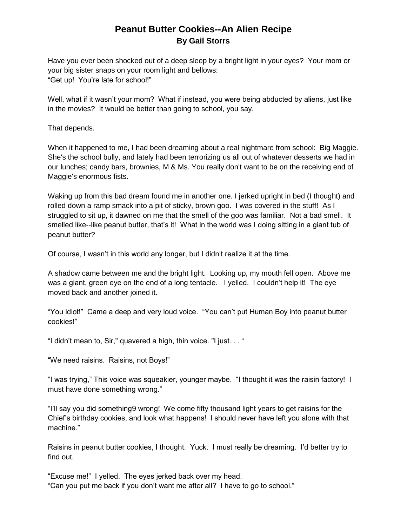## **Peanut Butter Cookies--An Alien Recipe By Gail Storrs**

Have you ever been shocked out of a deep sleep by a bright light in your eyes? Your mom or your big sister snaps on your room light and bellows: "Get up! You're late for school!"

Well, what if it wasn't your mom? What if instead, you were being abducted by aliens, just like in the movies? It would be better than going to school, you say.

That depends.

When it happened to me, I had been dreaming about a real nightmare from school: Big Maggie. She's the school bully, and lately had been terrorizing us all out of whatever desserts we had in our lunches; candy bars, brownies, M & Ms. You really don't want to be on the receiving end of Maggie's enormous fists.

Waking up from this bad dream found me in another one. I jerked upright in bed (I thought) and rolled down a ramp smack into a pit of sticky, brown goo. I was covered in the stuff! As I struggled to sit up, it dawned on me that the smell of the goo was familiar. Not a bad smell. It smelled like--like peanut butter, that's it! What in the world was I doing sitting in a giant tub of peanut butter?

Of course, I wasn't in this world any longer, but I didn't realize it at the time.

A shadow came between me and the bright light. Looking up, my mouth fell open. Above me was a giant, green eye on the end of a long tentacle. I yelled. I couldn't help it! The eye moved back and another joined it.

"You idiot!" Came a deep and very loud voice. "You can't put Human Boy into peanut butter cookies!"

"I didn't mean to, Sir," quavered a high, thin voice. "I just. . . "

"We need raisins. Raisins, not Boys!"

"I was trying," This voice was squeakier, younger maybe. "I thought it was the raisin factory! I must have done something wrong."

"I'll say you did something9 wrong! We come fifty thousand light years to get raisins for the Chief's birthday cookies, and look what happens! I should never have left you alone with that machine."

Raisins in peanut butter cookies, I thought. Yuck. I must really be dreaming. I'd better try to find out.

"Excuse me!" I yelled. The eyes jerked back over my head. "Can you put me back if you don't want me after all? I have to go to school."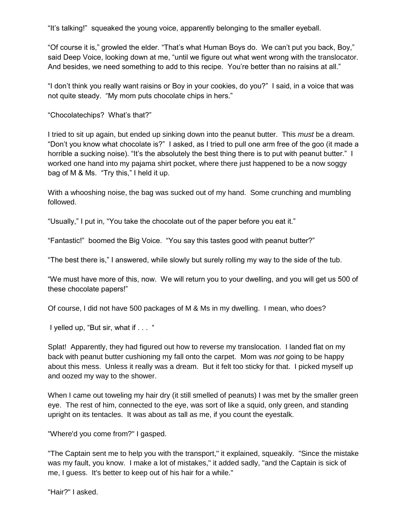"It's talking!" squeaked the young voice, apparently belonging to the smaller eyeball.

"Of course it is," growled the elder. "That's what Human Boys do. We can't put you back, Boy," said Deep Voice, looking down at me, "until we figure out what went wrong with the translocator. And besides, we need something to add to this recipe. You're better than no raisins at all."

"I don't think you really want raisins or Boy in your cookies, do you?" I said, in a voice that was not quite steady. "My mom puts chocolate chips in hers."

"Chocolatechips? What's that?"

I tried to sit up again, but ended up sinking down into the peanut butter. This *must* be a dream. "Don't you know what chocolate is?" I asked, as I tried to pull one arm free of the goo (it made a horrible a sucking noise). "It's the absolutely the best thing there is to put with peanut butter." I worked one hand into my pajama shirt pocket, where there just happened to be a now soggy bag of M & Ms. "Try this," I held it up.

With a whooshing noise, the bag was sucked out of my hand. Some crunching and mumbling followed.

"Usually," I put in, "You take the chocolate out of the paper before you eat it."

"Fantastic!" boomed the Big Voice. "You say this tastes good with peanut butter?"

"The best there is," I answered, while slowly but surely rolling my way to the side of the tub.

"We must have more of this, now. We will return you to your dwelling, and you will get us 500 of these chocolate papers!"

Of course, I did not have 500 packages of M & Ms in my dwelling. I mean, who does?

I yelled up, "But sir, what if . . . "

Splat! Apparently, they had figured out how to reverse my translocation. I landed flat on my back with peanut butter cushioning my fall onto the carpet. Mom was *not* going to be happy about this mess. Unless it really was a dream. But it felt too sticky for that. I picked myself up and oozed my way to the shower.

When I came out toweling my hair dry (it still smelled of peanuts) I was met by the smaller green eye. The rest of him, connected to the eye, was sort of like a squid, only green, and standing upright on its tentacles. It was about as tall as me, if you count the eyestalk.

"Where'd you come from?" I gasped.

"The Captain sent me to help you with the transport," it explained, squeakily. "Since the mistake was my fault, you know. I make a lot of mistakes," it added sadly, "and the Captain is sick of me, I guess. It's better to keep out of his hair for a while."

"Hair?" I asked.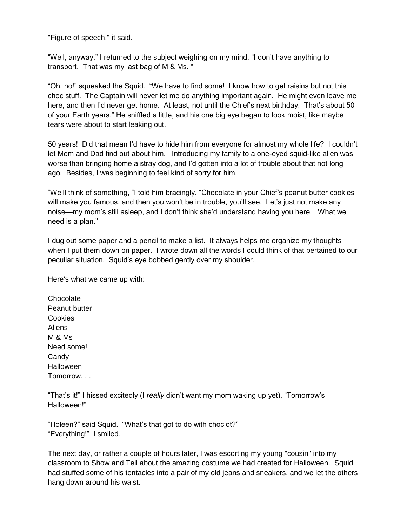"Figure of speech," it said.

"Well, anyway," I returned to the subject weighing on my mind, "I don't have anything to transport. That was my last bag of M & Ms. "

"Oh, no!" squeaked the Squid. "We have to find some! I know how to get raisins but not this choc stuff. The Captain will never let me do anything important again. He might even leave me here, and then I'd never get home. At least, not until the Chief's next birthday. That's about 50 of your Earth years." He sniffled a little, and his one big eye began to look moist, like maybe tears were about to start leaking out.

50 years! Did that mean I'd have to hide him from everyone for almost my whole life? I couldn't let Mom and Dad find out about him. Introducing my family to a one-eyed squid-like alien was worse than bringing home a stray dog, and I'd gotten into a lot of trouble about that not long ago. Besides, I was beginning to feel kind of sorry for him.

"We'll think of something, "I told him bracingly. "Chocolate in your Chief's peanut butter cookies will make you famous, and then you won't be in trouble, you'll see. Let's just not make any noise—my mom's still asleep, and I don't think she'd understand having you here. What we need is a plan."

I dug out some paper and a pencil to make a list. It always helps me organize my thoughts when I put them down on paper. I wrote down all the words I could think of that pertained to our peculiar situation. Squid's eye bobbed gently over my shoulder.

Here's what we came up with:

Chocolate Peanut butter Cookies Aliens M & Ms Need some! Candy **Halloween** Tomorrow. . .

"That's it!" I hissed excitedly (I *really* didn't want my mom waking up yet), "Tomorrow's Halloween!"

"Holeen?" said Squid. "What's that got to do with choclot?" "Everything!" I smiled.

The next day, or rather a couple of hours later, I was escorting my young "cousin" into my classroom to Show and Tell about the amazing costume we had created for Halloween. Squid had stuffed some of his tentacles into a pair of my old jeans and sneakers, and we let the others hang down around his waist.